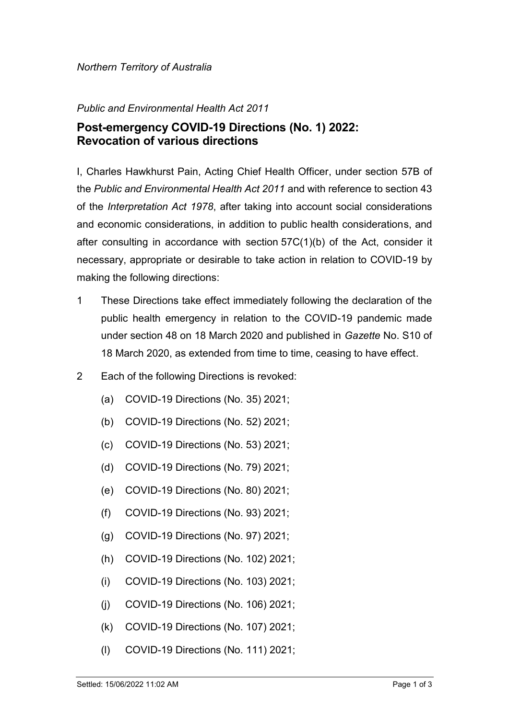## Northern Territory of Australia

## Public and Environmental Health Act 2011

## Post-emergency COVID-19 Directions (No. 1) 2022: Revocation of various directions

I, Charles Hawkhurst Pain, Acting Chief Health Officer, under section 57B of the Public and Environmental Health Act 2011 and with reference to section 43 of the Interpretation Act 1978, after taking into account social considerations and economic considerations, in addition to public health considerations, and after consulting in accordance with section 57C(1)(b) of the Act, consider it necessary, appropriate or desirable to take action in relation to COVID-19 by making the following directions:

- 1 These Directions take effect immediately following the declaration of the public health emergency in relation to the COVID-19 pandemic made under section 48 on 18 March 2020 and published in Gazette No. S10 of 18 March 2020, as extended from time to time, ceasing to have effect.
- 2 Each of the following Directions is revoked:
	- (a) COVID-19 Directions (No. 35) 2021;
	- (b) COVID-19 Directions (No. 52) 2021;
	- (c) COVID-19 Directions (No. 53) 2021;
	- (d) COVID-19 Directions (No. 79) 2021;
	- (e) COVID-19 Directions (No. 80) 2021;
	- (f) COVID-19 Directions (No. 93) 2021;
	- (g) COVID-19 Directions (No. 97) 2021;
	- (h) COVID-19 Directions (No. 102) 2021;
	- (i) COVID-19 Directions (No. 103) 2021;
	- (j) COVID-19 Directions (No. 106) 2021;
	- (k) COVID-19 Directions (No. 107) 2021;
	- (l) COVID-19 Directions (No. 111) 2021;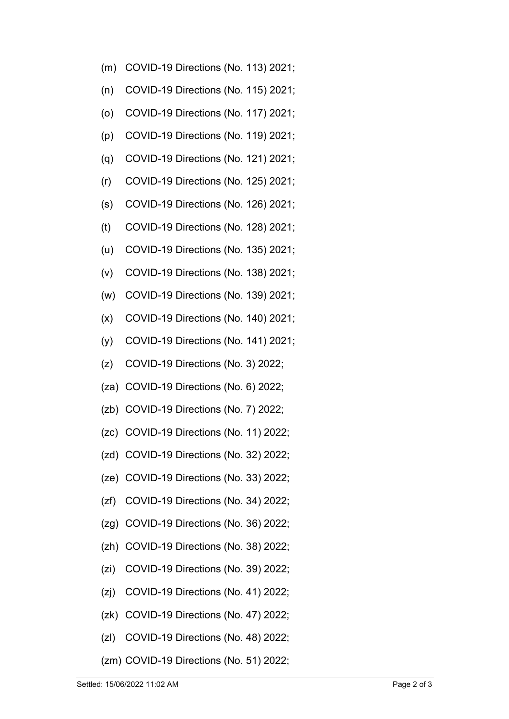- (m) COVID-19 Directions (No. 113) 2021;
- (n) COVID-19 Directions (No. 115) 2021;
- (o) COVID-19 Directions (No. 117) 2021;
- (p) COVID-19 Directions (No. 119) 2021;
- (q) COVID-19 Directions (No. 121) 2021;
- (r) COVID-19 Directions (No. 125) 2021;
- (s) COVID-19 Directions (No. 126) 2021;
- (t) COVID-19 Directions (No. 128) 2021;
- (u) COVID-19 Directions (No. 135) 2021;
- (v) COVID-19 Directions (No. 138) 2021;
- (w) COVID-19 Directions (No. 139) 2021;
- (x) COVID-19 Directions (No. 140) 2021;
- (y) COVID-19 Directions (No. 141) 2021;
- (z) COVID-19 Directions (No. 3) 2022;
- (za) COVID-19 Directions (No. 6) 2022;
- (zb) COVID-19 Directions (No. 7) 2022;
- (zc) COVID-19 Directions (No. 11) 2022;
- (zd) COVID-19 Directions (No. 32) 2022;
- (ze) COVID-19 Directions (No. 33) 2022;
- (zf) COVID-19 Directions (No. 34) 2022;
- (zg) COVID-19 Directions (No. 36) 2022;
- (zh) COVID-19 Directions (No. 38) 2022;
- (zi) COVID-19 Directions (No. 39) 2022;
- (zj) COVID-19 Directions (No. 41) 2022;
- (zk) COVID-19 Directions (No. 47) 2022;
- (zl) COVID-19 Directions (No. 48) 2022;
- (zm) COVID-19 Directions (No. 51) 2022;